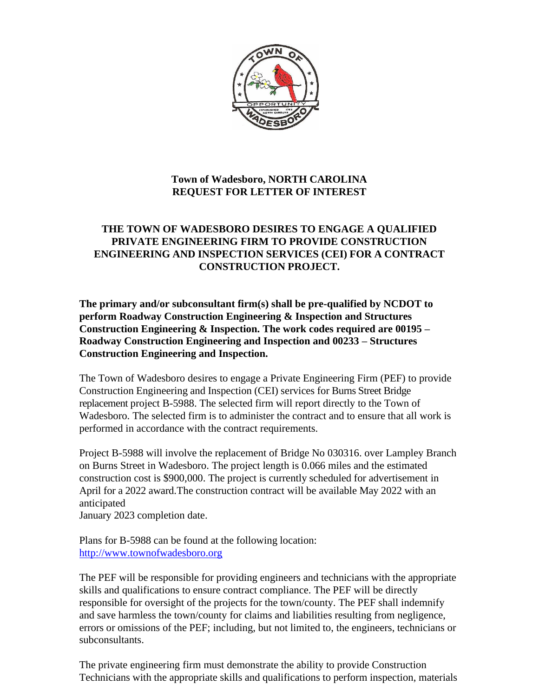

# **Town of Wadesboro, NORTH CAROLINA REQUEST FOR LETTER OF INTEREST**

### **THE TOWN OF WADESBORO DESIRES TO ENGAGE A QUALIFIED PRIVATE ENGINEERING FIRM TO PROVIDE CONSTRUCTION ENGINEERING AND INSPECTION SERVICES (CEI) FOR A CONTRACT CONSTRUCTION PROJECT.**

**The primary and/or subconsultant firm(s) shall be pre-qualified by NCDOT to perform Roadway Construction Engineering & Inspection and Structures Construction Engineering & Inspection. The work codes required are 00195 – Roadway Construction Engineering and Inspection and 00233 – Structures Construction Engineering and Inspection.**

The Town of Wadesboro desires to engage a Private Engineering Firm (PEF) to provide Construction Engineering and Inspection (CEI) services for Burns Street Bridge replacement project B-5988. The selected firm will report directly to the Town of Wadesboro. The selected firm is to administer the contract and to ensure that all work is performed in accordance with the contract requirements.

Project B-5988 will involve the replacement of Bridge No 030316. over Lampley Branch on Burns Street in Wadesboro. The project length is 0.066 miles and the estimated construction cost is \$900,000. The project is currently scheduled for advertisement in April for a 2022 award.The construction contract will be available May 2022 with an anticipated

January 2023 completion date.

Plans for B-5988 can be found at the following location: [http://www.t](http://www./)ownofwadesboro.org

The PEF will be responsible for providing engineers and technicians with the appropriate skills and qualifications to ensure contract compliance. The PEF will be directly responsible for oversight of the projects for the town/county. The PEF shall indemnify and save harmless the town/county for claims and liabilities resulting from negligence, errors or omissions of the PEF; including, but not limited to, the engineers, technicians or subconsultants.

The private engineering firm must demonstrate the ability to provide Construction Technicians with the appropriate skills and qualifications to perform inspection, materials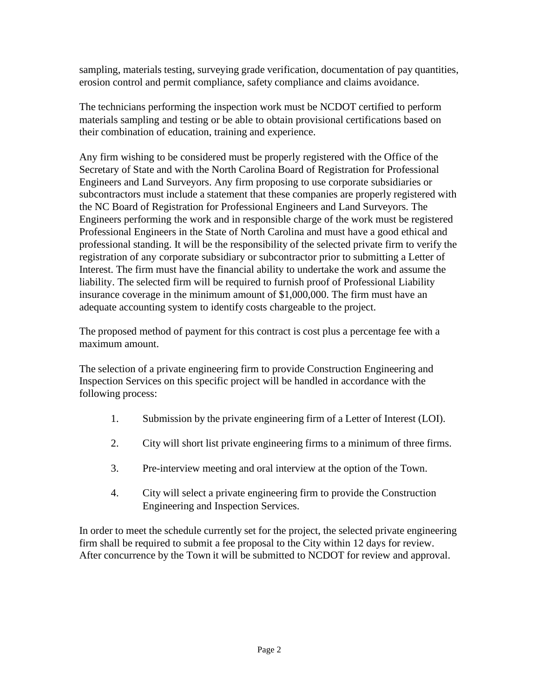sampling, materials testing, surveying grade verification, documentation of pay quantities, erosion control and permit compliance, safety compliance and claims avoidance.

The technicians performing the inspection work must be NCDOT certified to perform materials sampling and testing or be able to obtain provisional certifications based on their combination of education, training and experience.

Any firm wishing to be considered must be properly registered with the Office of the Secretary of State and with the North Carolina Board of Registration for Professional Engineers and Land Surveyors. Any firm proposing to use corporate subsidiaries or subcontractors must include a statement that these companies are properly registered with the NC Board of Registration for Professional Engineers and Land Surveyors. The Engineers performing the work and in responsible charge of the work must be registered Professional Engineers in the State of North Carolina and must have a good ethical and professional standing. It will be the responsibility of the selected private firm to verify the registration of any corporate subsidiary or subcontractor prior to submitting a Letter of Interest. The firm must have the financial ability to undertake the work and assume the liability. The selected firm will be required to furnish proof of Professional Liability insurance coverage in the minimum amount of \$1,000,000. The firm must have an adequate accounting system to identify costs chargeable to the project.

The proposed method of payment for this contract is cost plus a percentage fee with a maximum amount.

The selection of a private engineering firm to provide Construction Engineering and Inspection Services on this specific project will be handled in accordance with the following process:

- 1. Submission by the private engineering firm of a Letter of Interest (LOI).
- 2. City will short list private engineering firms to a minimum of three firms.
- 3. Pre-interview meeting and oral interview at the option of the Town.
- 4. City will select a private engineering firm to provide the Construction Engineering and Inspection Services.

In order to meet the schedule currently set for the project, the selected private engineering firm shall be required to submit a fee proposal to the City within 12 days for review. After concurrence by the Town it will be submitted to NCDOT for review and approval.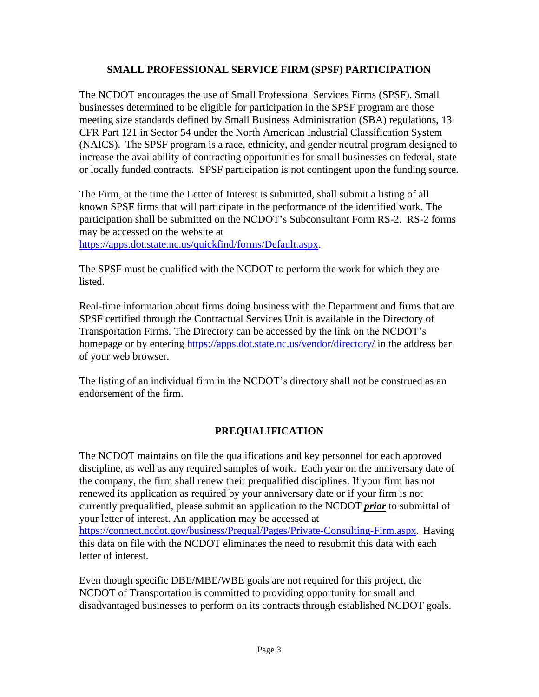### **SMALL PROFESSIONAL SERVICE FIRM (SPSF) PARTICIPATION**

The NCDOT encourages the use of Small Professional Services Firms (SPSF). Small businesses determined to be eligible for participation in the SPSF program are those meeting size standards defined by Small Business Administration (SBA) regulations, 13 CFR Part 121 in Sector 54 under the North American Industrial Classification System (NAICS). The SPSF program is a race, ethnicity, and gender neutral program designed to increase the availability of contracting opportunities for small businesses on federal, state or locally funded contracts. SPSF participation is not contingent upon the funding source.

The Firm, at the time the Letter of Interest is submitted, shall submit a listing of all known SPSF firms that will participate in the performance of the identified work. The participation shall be submitted on the NCDOT's Subconsultant Form RS-2. RS-2 forms may be accessed on the website at

[https://apps.dot.state.nc.us/quickfind/forms/Default.aspx.](https://apps.dot.state.nc.us/quickfind/forms/Default.aspx)

The SPSF must be qualified with the NCDOT to perform the work for which they are listed.

Real-time information about firms doing business with the Department and firms that are SPSF certified through the Contractual Services Unit is available in the Directory of Transportation Firms. The Directory can be accessed by the link on the NCDOT's homepage or by entering<https://apps.dot.state.nc.us/vendor/directory/> in the address bar of your web browser.

The listing of an individual firm in the NCDOT's directory shall not be construed as an endorsement of the firm.

# **PREQUALIFICATION**

The NCDOT maintains on file the qualifications and key personnel for each approved discipline, as well as any required samples of work. Each year on the anniversary date of the company, the firm shall renew their prequalified disciplines. If your firm has not renewed its application as required by your anniversary date or if your firm is not currently prequalified, please submit an application to the NCDOT *prior* to submittal of your letter of interest. An application may be accessed at [https://connect.ncdot.gov/business/Prequal/Pages/Private-Consulting-Firm.aspx.](https://connect.ncdot.gov/business/Prequal/Pages/Private-Consulting-Firm.aspx) Having this data on file with the NCDOT eliminates the need to resubmit this data with each letter of interest.

Even though specific DBE/MBE/WBE goals are not required for this project, the NCDOT of Transportation is committed to providing opportunity for small and disadvantaged businesses to perform on its contracts through established NCDOT goals.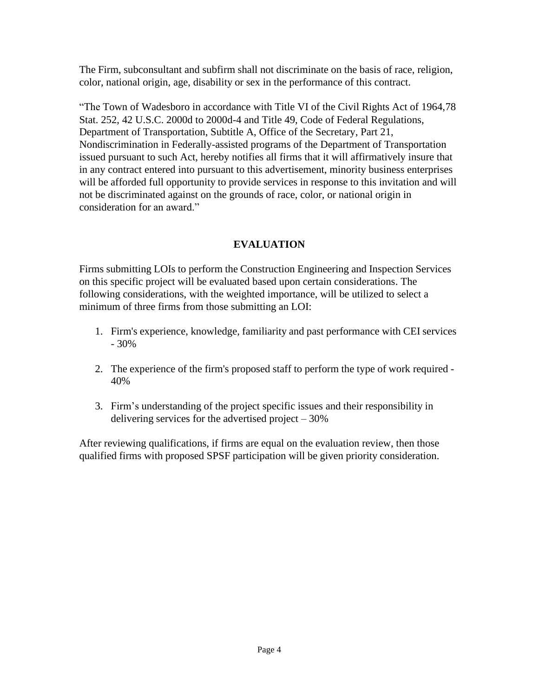The Firm, subconsultant and subfirm shall not discriminate on the basis of race, religion, color, national origin, age, disability or sex in the performance of this contract.

"The Town of Wadesboro in accordance with Title VI of the Civil Rights Act of 1964,78 Stat. 252, 42 U.S.C. 2000d to 2000d-4 and Title 49, Code of Federal Regulations, Department of Transportation, Subtitle A, Office of the Secretary, Part 21, Nondiscrimination in Federally-assisted programs of the Department of Transportation issued pursuant to such Act, hereby notifies all firms that it will affirmatively insure that in any contract entered into pursuant to this advertisement, minority business enterprises will be afforded full opportunity to provide services in response to this invitation and will not be discriminated against on the grounds of race, color, or national origin in consideration for an award."

# **EVALUATION**

Firms submitting LOIs to perform the Construction Engineering and Inspection Services on this specific project will be evaluated based upon certain considerations. The following considerations, with the weighted importance, will be utilized to select a minimum of three firms from those submitting an LOI:

- 1. Firm's experience, knowledge, familiarity and past performance with CEI services - 30%
- 2. The experience of the firm's proposed staff to perform the type of work required 40%
- 3. Firm's understanding of the project specific issues and their responsibility in delivering services for the advertised project – 30%

After reviewing qualifications, if firms are equal on the evaluation review, then those qualified firms with proposed SPSF participation will be given priority consideration.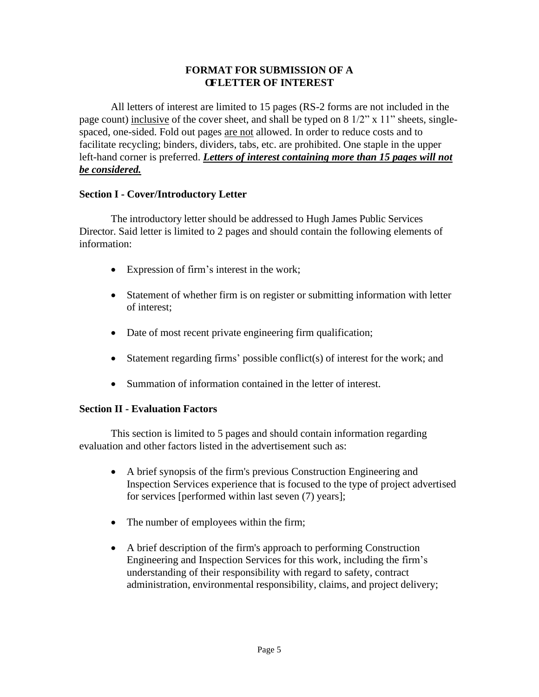#### **FORMAT FOR SUBMISSION OF A OFLETTER OF INTEREST**

All letters of interest are limited to 15 pages (RS-2 forms are not included in the page count) inclusive of the cover sheet, and shall be typed on 8 1/2" x 11" sheets, singlespaced, one-sided. Fold out pages are not allowed. In order to reduce costs and to facilitate recycling; binders, dividers, tabs, etc. are prohibited. One staple in the upper left-hand corner is preferred. *Letters of interest containing more than 15 pages will not be considered.*

#### **Section I - Cover/Introductory Letter**

The introductory letter should be addressed to Hugh James Public Services Director. Said letter is limited to 2 pages and should contain the following elements of information:

- Expression of firm's interest in the work;
- Statement of whether firm is on register or submitting information with letter of interest;
- Date of most recent private engineering firm qualification;
- Statement regarding firms' possible conflict(s) of interest for the work; and
- Summation of information contained in the letter of interest.

#### **Section II - Evaluation Factors**

This section is limited to 5 pages and should contain information regarding evaluation and other factors listed in the advertisement such as:

- A brief synopsis of the firm's previous Construction Engineering and Inspection Services experience that is focused to the type of project advertised for services [performed within last seven (7) years];
- The number of employees within the firm;
- A brief description of the firm's approach to performing Construction Engineering and Inspection Services for this work, including the firm's understanding of their responsibility with regard to safety, contract administration, environmental responsibility, claims, and project delivery;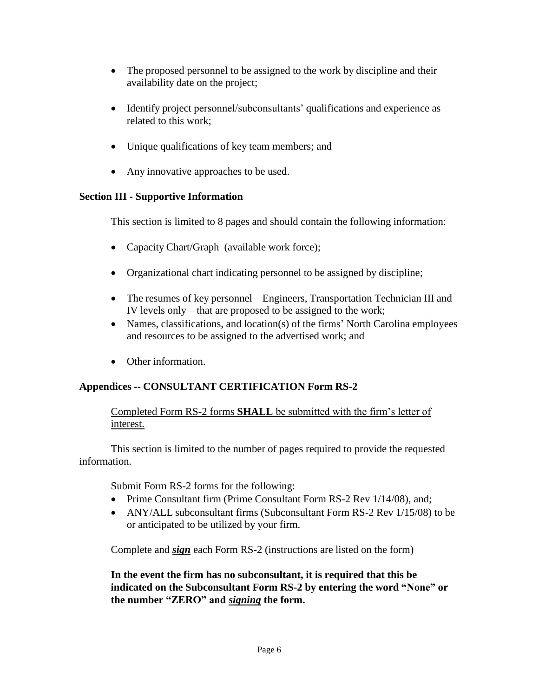- The proposed personnel to be assigned to the work by discipline and their availability date on the project;
- Identify project personnel/subconsultants' qualifications and experience as related to this work;
- Unique qualifications of key team members; and
- Any innovative approaches to be used.

#### **Section III - Supportive Information**

This section is limited to 8 pages and should contain the following information:

- Capacity Chart/Graph (available work force);
- Organizational chart indicating personnel to be assigned by discipline;
- The resumes of key personnel Engineers, Transportation Technician III and IV levels only – that are proposed to be assigned to the work;
- Names, classifications, and location(s) of the firms' North Carolina employees and resources to be assigned to the advertised work; and
- Other information.

# **Appendices -- CONSULTANT CERTIFICATION Form RS-2**

### Completed Form RS-2 forms **SHALL** be submitted with the firm's letter of interest.

This section is limited to the number of pages required to provide the requested information.

Submit Form RS-2 forms for the following:

- Prime Consultant firm (Prime Consultant Form RS-2 Rev 1/14/08), and;
- ANY/ALL subconsultant firms (Subconsultant Form RS-2 Rev 1/15/08) to be or anticipated to be utilized by your firm.

Complete and *sign* each Form RS-2 (instructions are listed on the form)

**In the event the firm has no subconsultant, it is required that this be indicated on the Subconsultant Form RS-2 by entering the word "None" or the number "ZERO" and** *signing* **the form.**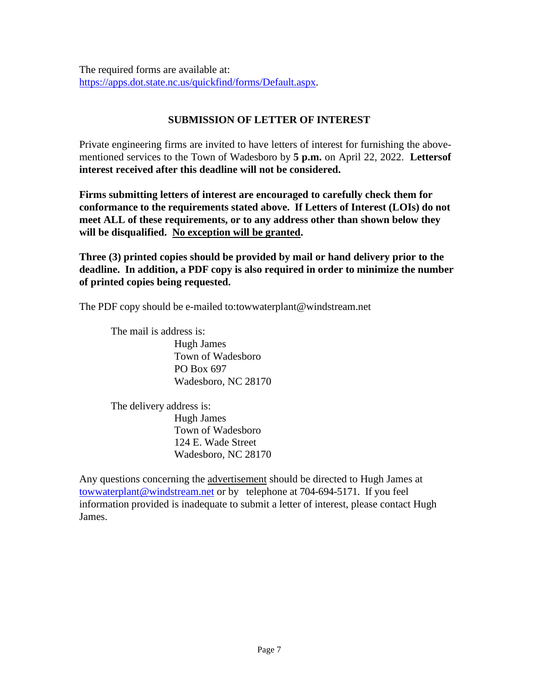The required forms are available at: [https://apps.dot.state.nc.us/quickfind/forms/Default.aspx.](https://apps.dot.state.nc.us/quickfind/forms/Default.aspx)

# **SUBMISSION OF LETTER OF INTEREST**

Private engineering firms are invited to have letters of interest for furnishing the abovementioned services to the Town of Wadesboro by **5 p.m.** on April 22, 2022. **Lettersof interest received after this deadline will not be considered.**

**Firms submitting letters of interest are encouraged to carefully check them for conformance to the requirements stated above. If Letters of Interest (LOIs) do not meet ALL of these requirements, or to any address other than shown below they will be disqualified. No exception will be granted.**

**Three (3) printed copies should be provided by mail or hand delivery prior to the deadline. In addition, a PDF copy is also required in order to minimize the number of printed copies being requested.**

The PDF copy should be e-mailed to:towwaterplant@windstream.net

The mail is address is: Hugh James Town of Wadesboro PO Box 697 Wadesboro, NC 28170

The delivery address is: Hugh James Town of Wadesboro 124 E. Wade Street Wadesboro, NC 28170

Any questions concerning the advertisement should be directed to Hugh James at [towwaterplant@windstream.net](mailto:towwaterplant@windstream.net) or by telephone at 704-694-5171. If you feel information provided is inadequate to submit a letter of interest, please contact Hugh James.